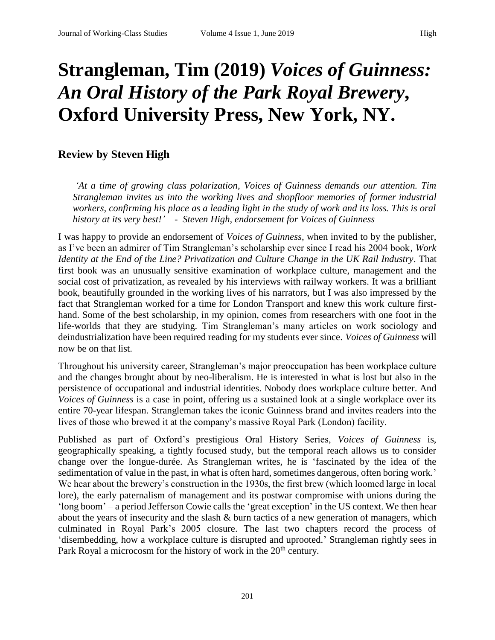## **Strangleman, Tim (2019)** *Voices of Guinness: An Oral History of the Park Royal Brewery***, Oxford University Press, New York, NY.**

## **Review by Steven High**

*'At a time of growing class polarization, Voices of Guinness demands our attention. Tim Strangleman invites us into the working lives and shopfloor memories of former industrial workers, confirming his place as a leading light in the study of work and its loss. This is oral history at its very best!' - Steven High, endorsement for Voices of Guinness*

I was happy to provide an endorsement of *Voices of Guinness*, when invited to by the publisher, as I've been an admirer of Tim Strangleman's scholarship ever since I read his 2004 book, *Work Identity at the End of the Line? Privatization and Culture Change in the UK Rail Industry*. That first book was an unusually sensitive examination of workplace culture, management and the social cost of privatization, as revealed by his interviews with railway workers. It was a brilliant book, beautifully grounded in the working lives of his narrators, but I was also impressed by the fact that Strangleman worked for a time for London Transport and knew this work culture firsthand. Some of the best scholarship, in my opinion, comes from researchers with one foot in the life-worlds that they are studying. Tim Strangleman's many articles on work sociology and deindustrialization have been required reading for my students ever since. *Voices of Guinness* will now be on that list.

Throughout his university career, Strangleman's major preoccupation has been workplace culture and the changes brought about by neo-liberalism. He is interested in what is lost but also in the persistence of occupational and industrial identities. Nobody does workplace culture better. And *Voices of Guinness* is a case in point, offering us a sustained look at a single workplace over its entire 70-year lifespan. Strangleman takes the iconic Guinness brand and invites readers into the lives of those who brewed it at the company's massive Royal Park (London) facility.

Published as part of Oxford's prestigious Oral History Series, *Voices of Guinness* is, geographically speaking, a tightly focused study, but the temporal reach allows us to consider change over the longue-durée. As Strangleman writes, he is 'fascinated by the idea of the sedimentation of value in the past, in what is often hard, sometimes dangerous, often boring work.' We hear about the brewery's construction in the 1930s, the first brew (which loomed large in local lore), the early paternalism of management and its postwar compromise with unions during the 'long boom' – a period Jefferson Cowie calls the 'great exception' in the US context. We then hear about the years of insecurity and the slash  $\&$  burn tactics of a new generation of managers, which culminated in Royal Park's 2005 closure. The last two chapters record the process of 'disembedding, how a workplace culture is disrupted and uprooted.' Strangleman rightly sees in Park Royal a microcosm for the history of work in the  $20<sup>th</sup>$  century.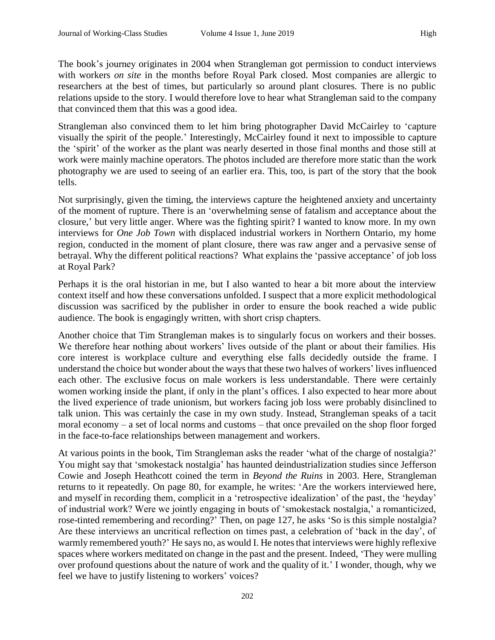The book's journey originates in 2004 when Strangleman got permission to conduct interviews with workers *on site* in the months before Royal Park closed. Most companies are allergic to researchers at the best of times, but particularly so around plant closures. There is no public relations upside to the story. I would therefore love to hear what Strangleman said to the company that convinced them that this was a good idea.

Strangleman also convinced them to let him bring photographer David McCairley to 'capture visually the spirit of the people.' Interestingly, McCairley found it next to impossible to capture the 'spirit' of the worker as the plant was nearly deserted in those final months and those still at work were mainly machine operators. The photos included are therefore more static than the work photography we are used to seeing of an earlier era. This, too, is part of the story that the book tells.

Not surprisingly, given the timing, the interviews capture the heightened anxiety and uncertainty of the moment of rupture. There is an 'overwhelming sense of fatalism and acceptance about the closure,' but very little anger. Where was the fighting spirit? I wanted to know more. In my own interviews for *One Job Town* with displaced industrial workers in Northern Ontario, my home region, conducted in the moment of plant closure, there was raw anger and a pervasive sense of betrayal. Why the different political reactions? What explains the 'passive acceptance' of job loss at Royal Park?

Perhaps it is the oral historian in me, but I also wanted to hear a bit more about the interview context itself and how these conversations unfolded. I suspect that a more explicit methodological discussion was sacrificed by the publisher in order to ensure the book reached a wide public audience. The book is engagingly written, with short crisp chapters.

Another choice that Tim Strangleman makes is to singularly focus on workers and their bosses. We therefore hear nothing about workers' lives outside of the plant or about their families. His core interest is workplace culture and everything else falls decidedly outside the frame. I understand the choice but wonder about the ways that these two halves of workers' lives influenced each other. The exclusive focus on male workers is less understandable. There were certainly women working inside the plant, if only in the plant's offices. I also expected to hear more about the lived experience of trade unionism, but workers facing job loss were probably disinclined to talk union. This was certainly the case in my own study. Instead, Strangleman speaks of a tacit moral economy – a set of local norms and customs – that once prevailed on the shop floor forged in the face-to-face relationships between management and workers.

At various points in the book, Tim Strangleman asks the reader 'what of the charge of nostalgia?' You might say that 'smokestack nostalgia' has haunted deindustrialization studies since Jefferson Cowie and Joseph Heathcott coined the term in *Beyond the Ruins* in 2003. Here, Strangleman returns to it repeatedly. On page 80, for example, he writes: 'Are the workers interviewed here, and myself in recording them, complicit in a 'retrospective idealization' of the past, the 'heyday' of industrial work? Were we jointly engaging in bouts of 'smokestack nostalgia,' a romanticized, rose-tinted remembering and recording?' Then, on page 127, he asks 'So is this simple nostalgia? Are these interviews an uncritical reflection on times past, a celebration of 'back in the day', of warmly remembered youth?' He says no, as would I. He notes that interviews were highly reflexive spaces where workers meditated on change in the past and the present. Indeed, 'They were mulling over profound questions about the nature of work and the quality of it.' I wonder, though, why we feel we have to justify listening to workers' voices?